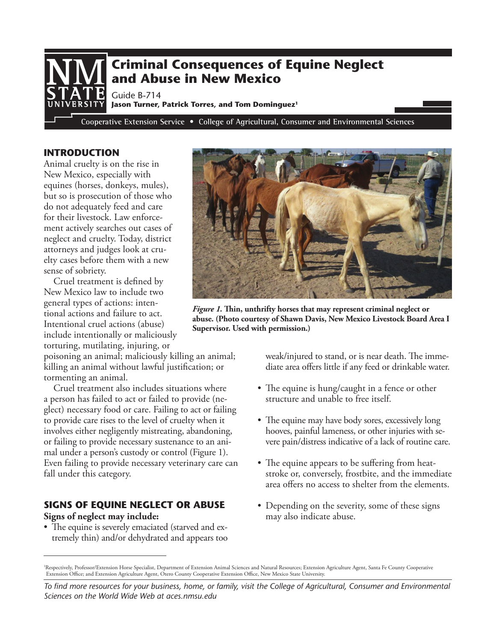

## **INTRODUCTION**

Animal cruelty is on the rise in New Mexico, especially with equines (horses, donkeys, mules), but so is prosecution of those who do not adequately feed and care for their livestock. Law enforcement actively searches out cases of neglect and cruelty. Today, district attorneys and judges look at cruelty cases before them with a new sense of sobriety.

Cruel treatment is defined by New Mexico law to include two general types of actions: intentional actions and failure to act. Intentional cruel actions (abuse) include intentionally or maliciously torturing, mutilating, injuring, or

poisoning an animal; maliciously killing an animal; killing an animal without lawful justification; or tormenting an animal.

Cruel treatment also includes situations where a person has failed to act or failed to provide (neglect) necessary food or care. Failing to act or failing to provide care rises to the level of cruelty when it involves either negligently mistreating, abandoning, or failing to provide necessary sustenance to an animal under a person's custody or control (Figure 1). Even failing to provide necessary veterinary care can fall under this category.

## **SIGNS OF EQUINE NEGLECT OR ABUSE Signs of neglect may include:**

• The equine is severely emaciated (starved and extremely thin) and/or dehydrated and appears too



*Figure 1.* **Thin, unthrifty horses that may represent criminal neglect or abuse. (Photo courtesy of Shawn Davis, New Mexico Livestock Board Area I Supervisor. Used with permission.)**

weak/injured to stand, or is near death. The immediate area offers little if any feed or drinkable water.

- The equine is hung/caught in a fence or other structure and unable to free itself.
- The equine may have body sores, excessively long hooves, painful lameness, or other injuries with severe pain/distress indicative of a lack of routine care.
- The equine appears to be suffering from heatstroke or, conversely, frostbite, and the immediate area offers no access to shelter from the elements.
- Depending on the severity, some of these signs may also indicate abuse.

<sup>&</sup>lt;sup>1</sup>Respectively, Professor/Extension Horse Specialist, Department of Extension Animal Sciences and Natural Resources; Extension Agriculture Agent, Santa Fe County Cooperative Extension Office; and Extension Agriculture Agent, Otero County Cooperative Extension Office, New Mexico State University.

*To find more resources for your business, home, or family, visit the College of Agricultural, Consumer and Environmental Sciences on the World Wide Web at aces.nmsu.edu*